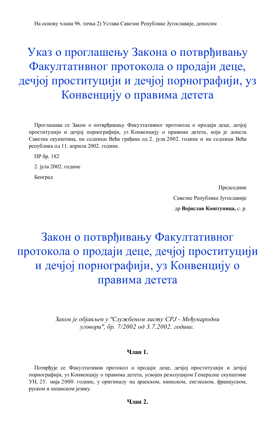# Указ о проглашењу Закона о потврђивању Факултативног протокола о продаји деце, дечјој проституцији и дечјој порнографији, уз Конвенцију о правима детета

Проглашава се Закон о потврђивању Факултативног протокола о продаји деце, дечјој проституцији и дечјој порнографији, уз Конвенцију о правима детета, који је донела Савезна скупштина, на седници Већа грађана од 2. јула 2002. године и на седници Већа република од 11. априла 2002. године.

ПР бр. 182 2. јула 2002. године Београд

> Председник Савезне Републике Југославије др **Војислав Коштуница,** с. р.

# Закон о потврђивању Факултативног протокола о продаји деце, дечјој проституцији и дечјој порнографији, уз Конвенцију о правима детета

*Закон је објављен у "Службеном листу СРЈ - Међународни уговори", бр. 7/2002 од 3.7.2002. године.*

# **Члан 1.**

Потврђује се Факултативни протокол о продаји деце, дечјој проституцији и дечјој порнографији, уз Конвенцију о правима детета, усвојен резолуцијом Генералне скупштине УН, 25. маја 2000. године, у оригиналу на арапском, кинеском, енглеском, француском, руском и шпанском језику.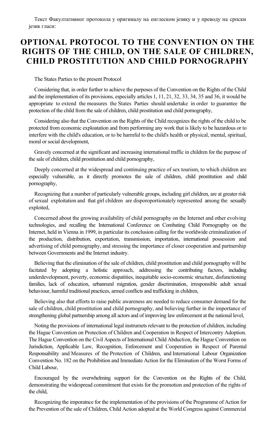Текст Факултативног протокола у оригиналу на енглеском језику и у преводу на српски језик гласи:

# **OPTIONAL PROTOCOL TO THE CONVENTION ON THE RIGHTS OF THE CHILD, ON THE SALE OF CHILDREN, CHILD PROSTITUTION AND CHILD PORNOGRAPHY**

The States Parties to the present Protocol

Considering that, in order further to achieve the purposes of the Convention on the Rights of the Child and the implementation of its provisions, especially articles 1, 11, 21, 32, 33, 34, 35 and 36, it would be appropriate to extend the measures the States Parties should undertake in order to guarantee the protection of the child from the sale of children, child prostitution and child pornography,

Considering also that the Convention on the Rights of the Child recognizes the rights of the child to be protected from economic exploatation and from performing any work that is likely to be hazardous or to interfere with the child's education, or to be harmful to the child's health or physical, mental, spiritual, moral or social development,

Gravely concerned at the significant and increasing international traffic in children for the purpose of the sale of children, child prostitution and child pornography,

Deeply concerned at the widespread and continuing practice of sex tourism, to which children are especially vulnerable, as it directly promotes the sale of children, child prostitution and child pornography,

Recognizing that a number of particularly vulnerable groups, including girl children, are at greater risk of sexual exploitation and that girl children are disporoportionately represented among the sexually exploited,

Concerned about the growing availability of child pornography on the Internet and other evolving technologies, and recalling the International Conference on Combating Child Pornography on the Internet, held in Vienna in 1999, in particular its conclusion calling for the worldwide criminalization of the production, distribution, exportation, transmission, importation, international possession and advertising of child pornography, and stressing the importance of closer cooperation and partnership between Governments and the Internet industry.

Believing that the elimination of the sale of children, child prostitution and child pornography will be facitated by adopting a holistic approach, addressing the contributing factors, including underdevelopment, poverty, economic dispatities, inequitable socio-economic structure, disfunctioning families, lack of education, urbanrural migration, gender discrimination, irresponsible adult sexual behaviour, harmful traditional practices, armed conflicts and trafficking in children,

Believing also that efforts to raise public awareness are needed to reduce consumer demand for the sale of children, child prostitution and child pornography, and believing further in the importance of strengthening global partnership among all actors and of improving law enforcement at the national level,

Noting the provisions of international legal instrumets relevant to the protection of children, including the Hague Convention on Protection of Children and Cooperation in Respect of Intercontry Adoption. The Hague Convention on the Civil Aspects of International Child Abduction, the Hague Convention on Jurisdiction, Applicable Law, Recognition, Enforcement and Cooperation in Respect of Parental Responsability and Measures of the Protection of Children, and International Labour Organization Convention No. 182 on the Prohibition and Immediate Action for the Elimination of the Worst Forms of Child Labour,

Encouraged by the overwhelming support for the Convention on the Rights of the Child, demonstrating the widespread commitment that exists for the promotion and protection of the rights of the child,

Recognizing the imporatnce for the implementation of the provisions of the Programme of Action for the Prevention of the sale of Children, Child Action adopted at the World Congress against Commercial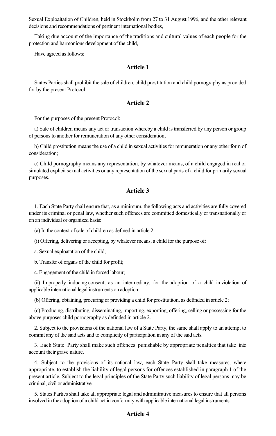Sexual Exploaitation of Children, held in Stockholm from 27 to 31 August 1996, and the other relevant decisions and recommendations of pertinent international bodies,

Taking due account of the importance of the traditions and cultural values of each people for the protection and harmonious development of the child,

Have agreed as follows:

### **Article 1**

States Parties shall prohibit the sale of children, child prostitution and child pornography as provided for by the present Protocol.

### **Article 2**

For the purposes of the present Protocol:

a) Sale of children means any act or transaction whereby a child is transferred by any person or group of persons to another for remuneration of any other consideration;

b) Child prostitution means the use of a child in sexual activities for remuneration or any other form of consideration;

c) Child pornography means any representation, by whatever means, of a child engaged in real or simulated explicit sexual activities or any representation of the sexual parts of a child for primarily sexual purposes.

# **Article 3**

1. Each State Party shall ensure that, as a minimum, the following acts and activities are fully covered under its criminal or penal law, whether such offences are committed domestically or transnationally or on an individual or organized basis:

(a) In the context of sale of children as defined in article 2:

(i) Offering, delivering or accepting, by whatever means, a child for the purpose of:

a. Sexual exploatation of the child;

b. Transfer of organs of the child for profit;

c. Engagement of the child in forced labour;

(ii) Improperly inducing consent, as an intermediary, for the adoption of a child in violation of applicable international legal instruments on adoption;

(b) Offering, obtaining, procuring or providing a child for prostitutiton, as definded in article 2;

(c) Producing, distributing, disseminating, importing, exporting, offering, selling or possessing for the above purposes child pornography as definded in article 2.

2. Subject to the provisions of the national law of a State Party, the same shall apply to an attempt to commit any of the said acts and to complicity of participation in any of the said acts.

3. Each State Party shall make such offences punishable by appropriate penalties that take into account their grave nature.

4. Subject to the provisions of its national law, each State Party shall take measures, where appropriate, to establish the liability of legal persons for offences established in paragraph 1 of the present article. Subject to the legal principles of the State Party such liability of legal persons may be criminal, civil or administrative.

5. States Parties shall take all appropriate legal and adminitrative measures to ensure that all persons involved in the adoption of a child act in conformity with applicable international legal instruments.

### **Article 4**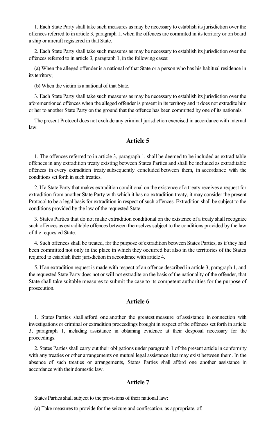1. Each State Party shall take such measures as may be necessary to establish its jurisdiction over the offences referred to in article 3, paragraph 1, when the offences are commited in its territory or on board a ship or aircraft registered in that State.

2. Each State Party shall take such measures as may be necessary to establish its jurisdiction over the offences referred to in article 3, paragraph 1, in the following cases:

(a) When the alleged offender is a national of that State or a person who has his habitual residence in its territory;

(b) When the victim is a national of that State.

3. Each State Party shall take such measures as may be necessary to establish its jurisdiction over the aforementioned offences when the alleged offender is present in its territory and it does not extradite him or her to another State Party on the ground that the offence has been committed by one of its nationals.

The present Protocol does not exclude any criminal jurisdiction exercised in accordance with internal law.

# **Article 5**

1. The offences referred to in article 3, paragraph 1, shall be deemed to be included as extraditable offences in any extradition treaty existing between States Parties and shall be included as extraditable offences in every extradition treaty subsequently concluded between them, in accordance with the conditions set forth in such treaties.

2. If a State Party that makes extradition conditional on the existence of a treaty receives a request for extradition from another State Party with which it has no extradition treaty, it may consider the present Protocol to be a legal basis for extradition in respect of such offences. Extradition shall be subject to the conditions provided by the law of the requested State.

3. States Parties that do not make extradition conditional on the existence of a treaty shall recognize such offences as extraditable offences between themselves subject to the conditions provided by the law of the requested State.

4. Such offences shall be treated, for the purpose of extradition between States Parties, as if they had been committed not only in the place in which they occurred but also in the territories of the States required to establish their jurisdiction in accordance with article 4.

5. If an extradition request is made with respect of an offence described in article 3, paragraph 1, and the requested State Party does not or will not extradite on the basis of the nationality of the offender, that State shall take suitable measures to submit the case to its competent authorities for the purpose of prosecution.

# **Article 6**

1. States Parties shall afford one another the greatest measure of assistance in connection with investigations or criminal or extradition proceedings brought in respect of the offences set forth in article 3, paragraph 1, including assistance in obtaining evidence at their desposal necessary for the proceedings.

2. States Parties shall carry out their obligations under paragraph 1 of the present article in conformity with any treaties or other arrangements on mutual legal assistance that may exist between them. In the absence of such treaties or arrangements, States Parties shall afford one another assistance in accordance with their domestic law.

# **Article 7**

States Parties shall subject to the provisions of their national law:

(a) Take measures to provide for the seizure and confiscation, as appropriate, of: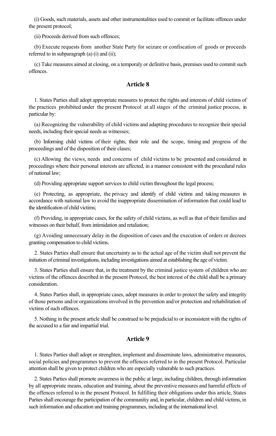(i) Goods, such materials, assets and other instrumentalities used to commit or facilitate offences under the present protocol;

(ii) Proceeds derived from such offences;

(b) Execute requests from another State Party for seizure or confiscation of goods or proceeds referred to in subparagraph (a) (i) and (ii);

(c) Take measures aimed at closing, on a temporaly or definitive basis, premises used to commit such offences.

### **Article 8**

1. States Parties shall adopt appropriate measures to protect the rights and interests of child victims of the practices prohibited under the present Protocol at all stages of the criminal justice process, in particular by:

(a) Recognizing the vulnerability of child victims and adapting procedures to recognize their special needs, including their special needs as witnesses;

(b) Informing child victims of their rights, their role and the scope, timing and progress of the proceedings and of the disposition of their clases;

(c) Allowing the views, needs and concerns of child victims to be presented and considered in proceedings where their personal interests are affected, in a manner consistent with the procedural rules of national law;

(d) Providing appropriate support services to child victim throughout the legal process;

(e) Protecting, as appropriate, the privacy and identify of child victims and taking measures in accordance with national law to avoid the inappropriate dissemination of information that could lead to the identification of child victims;

(f) Providing, in appropriate cases, for the safety of child victims, as well as that of their families and witnesses on their behalf, from intimidation and retaliation;

(g) Avoiding unnecessary delay in the disposition of cases and the execution of orders or decrees granting compensation to child victims.

2. States Parties shall ensure that uncertainty as to the actual age of the victim shall not prevent the initiation of criminal investigations, including investigations aimed at establishing the age of victim.

3. States Parties shall ensure that, in the treatment by the criminal justice system of children who are victims of the offences described in the present Protocol, the best interest of the child shall be a primary consideration.

4. States Parties shall, in appropriate cases, adopt measures in order to protect the safety and integrity of those persons and/or organizations involved in the prevention and/or protection and rehabilitation of victims of such offences.

5. Nothing in the present article shall be construed to be prejudicial to or inconsistent with the rights of the accused to a fair and impartial trial.

## **Article 9**

1. States Parties shall adopt or strenghten, implement and disseminate laws, administrative measures, social policies and programmes to prevent the offences referred to in the present Protocol. Particular attention shall be given to protect children who are especially vulnerable to such practices.

2. States Parties shall promote awareness in the public at large, including children, through information by all appropriate means, education and training, about the preventive measures and harmful effects of the offences referred to in the present Protocol. In fulfilling their obligations under this article, States Parties shall encourage the participation of the communitiy and, in particular, children and child victims, in such information and education and training programmes, including at the international level.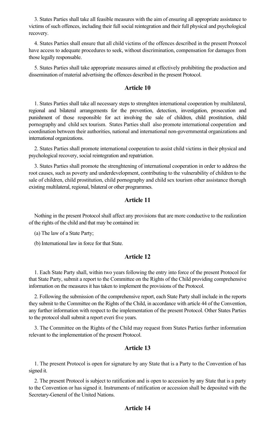3. States Parties shall take all feasible measures with the aim of ensuring all appropriate assistance to victims of such offences, including their full social reintegration and their full physical and psychological recovery.

4. States Parties shall ensure that all child victims of the offences described in the present Protocol have access to adequate procedures to seek, without discrimination, compensation for damages from those legally responsable.

5. States Parties shall take appropriate measures aimed at effectively prohibiting the production and dissemination of material advertising the offences described in the present Protocol.

## **Article 10**

1. States Parties shall take all necessary steps to strenghten international cooperation by multilateral, regional and bilateral arrangements for the prevention, detection, investigation, prosecution and punishment of those responsible for act involving the sale of children, child prostitution, child pornography and child sex tourism. States Parties shall also promote international cooperation and coordination between their authorities, national and international non-governmental organizations and international organizations.

2. States Parties shall promote international cooperation to assist child victims in their physical and psychological recovery, social reintegration and repatriation.

3. States Parties shall promote the strenghtening of international cooperation in order to address the root causes, such as poverty and underdevelopment, contributing to the vulnerability of children to the sale of children, child prostitution, child pornography and child sex tourism other assistance thorugh existing multilateral, regional, bilateral or other programmes.

### **Article 11**

Nothing in the present Protocol shall affect any provisions that are more conductive to the realization of the rights of the child and that may be contained in:

(a) The law of a State Party;

(b) International law in force for that State.

# **Article 12**

1. Each State Party shall, within two years following the entry into force of the present Protocol for that State Party, submit a report to the Committee on the Rights of the Child providing comprehensive information on the measures it has taken to implement the provisions of the Protocol.

2. Following the submission of the comprehensive report, each State Party shall include in the reports they submit to the Committee on the Rights of the Child, in accordance with article 44 of the Convention, any further information with respect to the implementation of the present Protocol. Other States Parties to the protocol shall submit a report everi five years.

3. The Committee on the Rights of the Child may request from States Parties further information relevant to the implementation of the present Protocol.

## **Article 13**

1. The present Protocol is open for signature by any State that is a Party to the Convention of has signed it.

2. The present Protocol is subject to ratification and is open to accession by any State that is a party to the Convention or has signed it. Instruments of ratification or accession shall be deposited with the Secretary-General of the United Nations.

# **Article 14**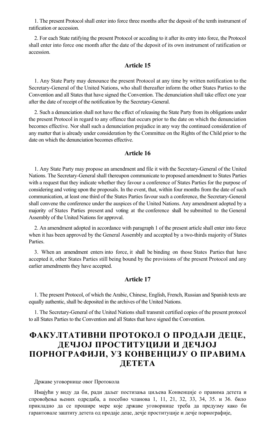1. The present Protocol shall enter into force three months after the deposit of the tenth instrument of ratification or accession.

2. For each State ratifying the present Protocol or acceding to it after its entry into force, the Protocol shall enter into force one month after the date of the deposit of its own instrument of ratification or accession.

### **Article 15**

1. Any State Party may denounce the present Protocol at any time by written notification to the Secretary-General of the United Nations, who shall thereafter inform the other States Parties to the Convention and all States that have signed the Convention. The denunciation shall take effect one year after the date of receipt of the notification by the Secretary-General.

2. Such a denunciation shall not have the effect of releasing the State Party from its obligations under the present Protocol in regard to any offence that occurs prior to the date on which the denunciation becomes effective. Nor shall such a denunciation prejudice in any way the continued consideration of any matter that is already under consideration by the Committee on the Rights of the Child prior to the date on which the denunciation becomes effective.

# **Article 16**

1. Any State Party may propose an amendment and file it with the Secretary-General of the United Nations. The Secretary-General shall thereupon communicate to proposed amendment to States Parties with a request that they indicate whether they favour a conference of States Parties for the purpose of considering and voting upon the proposals. In the event, that, within four months from the date of such communication, at least one third of the States Parties favour such a conference, the Secretary-General shall convene the conference under the auspices of the United Nations. Any amendment adopted by a majority of States Parties present and voting at the conference shall be submitted to the General Assembly of the United Nations for approval.

2. An amendment adopted in accordance with paragraph 1 of the present article shall enter into force when it has been approved by the General Assembly and accepted by a two-thirds majority of States Parties.

3. When an amendment enters into force, it shall be binding on those States Parties that have accepted it, other States Parties still being bound by the provisions of the present Protocol and any earlier amendments they have accepted.

### **Article 17**

1. The present Protocol, of which the Arabic, Chinese, English, French, Russian and Spanish texts are equally authentic, shall be deposited in the archives of the United Nations.

1. The Secretary-General of the United Nations shall transmit certified copies of the present protocol to all States Parties to the Convention and all States that have signed the Convention.

# **ФАКУЛТАТИВНИ ПРОТОКОЛ О ПРОДАЈИ ДЕЦЕ, ДЕЧЈОЈ ПРОСТИТУЦИЈИ И ДЕЧЈОЈ ПОРНОГРАФИЈИ, УЗ КОНВЕНЦИЈУ О ПРАВИМА ДЕТЕТА**

Државе уговорнице овог Протокола

Имајући у виду да би, ради даљег постизања циљева Конвенције о правима детета и спровођења њених одредаба, а посебно чланова 1, 11, 21, 32, 33, 34, 35. и 36. било прикладно да се прошире мере које државе уговорнице треба да предузму како би гарантовале заштиту детета од продаје деце, дечје проституције и дечје порнографије,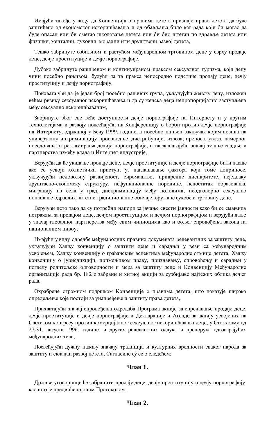Имајући такође у виду да Конвенција о правима детета признаје право детета да буде заштићено од економског искоришћавања и од обављања било ког рада који би могао да буде опасан или би ометао школовање детета или би био штетан по здравље детета или физички, ментални, духовни, морални или друштвени развој детета,

Тешко забринуте озбиљном и растућом међународном трговином деце у сврху продаје деце, дечје проституције и дечје порнографије,

Дубоко забринуте рaширеном и континуираном праксом сексуалног туризма, који децу чини посебно рањивом, будући да та пракса непосредно подстиче продају деце, дечју проституцију и дечју порнографију,

Прихватајући да је један број посебно рањивих група, укључујући женску децу, изложен већем ризику сексуалног искоришћавања и да су женска деца непропорцијално заступљена међу сексуално искоришћаваним,

Забринуте због све веће доступности дечје порнографије на Интернету и у другим технологијама и развоју подсећајући на Конференцију о борби против дечје порнографије на Интернету, одржаној у Бечу 1999. године, а посебно на њен закључак којим позива на универзалну инкриминацију производње, дистрибуције, извоза, преноса, увоза, намерног поседовања и рекламирања дечије порнографије, и наглашавајући значај тешње саадње и партнерства између влада и Интернет индустрије,

Верујући да ће укидање продаје деце, дечје проституције и дечје порнографије бити лакше ако се усвоји холистички приступ, уз наглашавање фактора који томе доприносе, укључујући недовољну развијеност, сиромаштво, привредне диспаритете, неједнаку друштвено-економску структуру, нефункционалне породице, недостатак образовања, миграцију из села у град, дискриминацију међу половима, неодговорно сексуално понашање одраслих, штетне традиционалне обичаје, оружане сукобе и трговину деце,

Верујући исто тако да су потребни напори за јачање свести јавности како би се смањила потражња за продајом деце, дечјом проституцијом и дечјом порнографијом и верујући даље у значај глобалног партнерства међу свим чиниоцима као и бољег спровођења закона на националном нивоу,

Имајући у виду одредбе међународних правних докумената релевантних за заштиту деце, укључујући Хашку конвенцију о заштити деце и сарадњи у вези са међународним усвојењем, Хашку конвенцију о грађанским аспектима међународне отмице детета, Хашку конвенцију о јурисдикцији, примењивом праву, признавању, спровођењу и сарадњи у погледу родитељске одговорности и мера за заштиту деце и Конвенцију Међународне организације рада бр. 182 о забрани и хитној акцији за сузбијање најтежих облика дечјег рада,

Охрабрене огромном подршком Конвенције о правима детета, што показује широко опредељење које постоји за унапређење и заштиту права детета,

Прихватајући значај спровођења одредаба Програма акције за спречавање продаје деце, дечје проституције и дечје порнографије и Декларације и Агенде за акцију усвојених на Светском конгресу против комерцијалног сексуалног искоришћавања деце, у Стокхолму од 27-31. августа 1996. године, и других релевантних одлука и препорука одговарајућих међународних тела,

Посвећујући дужну пажњу значају традиција и културних вредности сваког народа за заштиту и складан развој детета, Сагласиле су се о следећем:

## **Члан 1.**

Државе уговорнице ће забранити продају деце, дечју проституцију и дечју порнографију, као што је предвиђено овим Протоколом.

### **Члан 2.**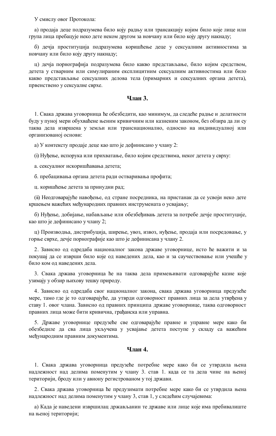У смислу овог Протокола:

а) продаја деце подразумева било коју радњу или трансакцију којим било које лице или група лица пребацује неко дете неком другом за новчану или било коју другу накнаду;

б) дечја проституција подразумева коришћење деце у сексуалним активностима за новчану или било коју другу накнаду;

ц) дечја порнографија подразумева било какво представљање, било којим средством, детета у стварним или симулираним експлицитним сексуалним активностима или било какво представљање сексуалних делова тела (примарних и сексуалних органа детета), првенствено у сексуалне сврхе.

# **Члан 3.**

1. Свака држава уговорница ће обезбедити, као минимум, да следеће радње и делатности буду у пуној мери обухваћене њеним кривичним или казненим законом, без обзира да ли су таква дела извршена у земљи или транснационално, односно на индивидуалној или организованој основи:

а) У контексту продаје деце као што је дефинисано у члану 2:

(i) Нуђење, испорука или прихватање, било којим средствима, неког детета у сврху:

а. сексуалног искоришћавања детета;

б. пребацивања органа детета ради остваривања профита;

ц. коришћење детета за принудни рад;

(ii) Неодговарајуће навођење, од стране посредника, на пристанак да се усвоји неко дете кршењем важећих међународних правних инструмената о усвајању;

б) Нуђење, добијање, набављање или обезбеђивањ детета за потребе дечје проституције, као што је дефинисано у члану 2;

ц) Производња, дистрибуција, ширење, увоз, извоз, нуђење, продаја или посредовање, у горње сврхе, дечје порнографије као што је дефинисана у члану 2.

2. Зависно од одредаба националног закона државе уговорнице, исто ће важити и за покушај да се изврши било које од наведених дела, као и за саучествовање или учешће у било ком од наведених дела.

3. Свака држава уговорница ће на таква дела примењивати одговарајуће казне које узимају у обзир њихову тешку природу.

4. Зависно од одредаба свог националног закона, свака држава уговорница предузеће мере, тамо где је то одговарајуће, да утврди одговорност правних лица за дела утврђена у ставу 1. овог члана. Зависно од правних принципа државе уговорнице, таква одговорност правних лица може бити кривична, грађанска или управна.

5. Државе уговорнице предузеће све одговарајуће правне и управне мере како би обезбедиле да сва лица укључена у усвајање детета поступе у складу са важећим међународним правним документима.

# **Члан 4.**

1. Свака држава уговорница предузеће потребне мере како би се утврдила њена надлежност над делима поменутим у члану 3. став 1. када се та дела чине на њеној територији, броду или у авиону регистрованом у тој држави.

2. Свака држава уговорница ће предузимати потребне мере како би се утврдила њена надлежност над делима поменутим у члану 3, став 1, у следећим случајевима:

а) Када је наведени извршилац држављанин те државе или лице које има пребивалиште на њеној територији;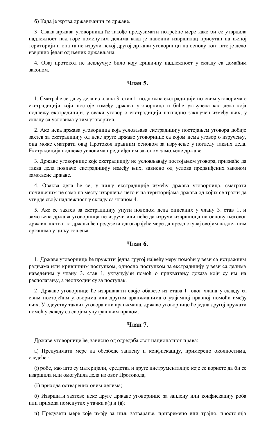б) Када је жртва држављанин те државе.

3. Свака држава уговорница ће такође предузимати потребне мере како би се утврдила надлежност над горе поменутим делима када је наводни извршилац присутан на њеној територији и она га не изручи некој другој држави уговорници на основу тога што је дело извршио један од њених држављана.

4. Овај протокол не искључује било коју кривичну надлежност у складу са домаћим законом.

# **Члан 5.**

1. Сматраће се да су дела из члана 3. став 1. подложна екстрадицији по свим уговорима о екстрадицији који постоје између држава уговорница и биће укључена као дела која подлежу екстрадицији, у сваки уговор о екстрадицији накнадно закључен између њих, у складу са условима у тим уговорима.

2. Ако нека држава уговорница која условљава екстрадицију постојањем уговора добије захтев за екстрадицију од неке друге државе уговорнице са којом нема уговор о изручењу, она може сматрати овај Протокол правним основом за изручење у погледу таквих дела. Екстрадиција подлеже условима предвиђеним законом замољене државе.

3. Државе уговорнице које екстрадицију не условљавају постојањем уговора, признаће да таква дела повлаче екстрадицију између њих, зависно од услова предвиђених законом замољене државе.

4. Оваква дела ће се, у циљу екстрадиције између држава уговорница, сматрати почињеним не само на месту извршења него и на територијама држава од којих се тражи да утврде своју надлежност у складу са чланом 4.

5. Ако се захтев за екстрадицију упути поводом дела описаних у члану 3. став 1. и замољена држава уговорница не изручи или неће да изручи извршиоца на основу његовог држављанства, та држава ће предузети одговарајуће мере да преда случај својим надлежним органима у циљу гоњења.

# **Члан 6.**

1. Државе уговорнице ће пружити једна другој највећу меру помоћи у вези са истражним радњама или кривичним поступком, односно поступком за екстрадицију у вези са делима наведеним у члану 3. став 1, укључујући помоћ о прихватању доказа који су им на располагању, а неопходни су за поступак.

2. Државе уговорнице ће извршавати своје обавезе из става 1. овог члана у складу са свим постојећим уговорима или другим аранжманима о узајамној правној помоћи имеђу њих. У одсуству таквих уговора или аранжмана, државе уговорнице ће једна другој пружати помоћ у складу са својим унутрашњим правом.

# **Члан 7.**

Државе уговорнице ће, зависно од одредаба свог националног права:

а) Предузимати мере да обезбеде заплену и конфискацију, примерено околностима, следећег:

(i) робе, као што су материјали, средства и друге инструменталије које се користе да би се извршила или омогућила дела из овог Протокола;

(ii) прихода остварених овим делима;

б) Извршити захтеве неке друге државе уговорнице за заплену или конфискацију роба или прихода поменутих у тачки а(i) и (ii);

ц) Предузети мере које имају за циљ затварање, привремено или трајно, просторија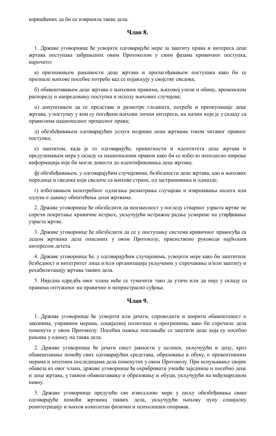коришћених да би се извршила таква дела.

### **Члан 8.**

1. Државе уговорнице ће усвојити одговарајуће мере за заштиту права и интереса деце жртава поступака забрањених овим Протоколом у свим фазама кривичног поступка, нарочито:

а) признавањем рањивости деце жртава и прилагођавањем поступака како би се признале њихове посебне потребе кад се појављују у својству сведока;

б) обавештавањем деце жртава о њиховим правима, њиховој улози и обиму, временском распореду и напредовању поступка и исходу њихових случајева;

ц) допуштањем да се представе и размотре гледишта, потребе и преокупације деце жртава, у поступку у ком су погођени њихови лични интереси, на начин који је у складу са правилима националног процесног права;

д) обезбеђивањем одговарајућих услуга подршке деци жртвама током читавог правног поступка;

е) заштитом, када је то одговарајуће, приватности и идентитета деце жртава и предузимањем мера у складу са националним правом како би се избегло неподесно ширење информација које би могле довести до идентификовања деце жртава;

ф) обезбеђивањем, у одговарајућим случајевима, безбедности деце жртава, као и њихових породица и сведока који сведоче са њихове стране, од застрашивања и одмазде;

г) избегавањем непотребног одлагања разматрања случајева и извршавања налога или одлука о давању обештећења деци жртвама.

2. Државе уговорнице ће обезбедити да неизвесност у погледу стварног узраста жртве не спречи покретање кривичне истраге, укључујући истражне радње усмерене на утврђивање узраста жртве.

3. Државе уговорнице ће обезбедити да се у поступању система кривичног правосуђа са децом жртвама дела описаних у овом Протоколу, првенствено руководи најбољим интересом детета.

4. Државе уговорнице ће, у одговарајућим случајевима, усвојити мере како би заштитиле безбедност и интегритет лица и/или организација укључених у спречавање и/или заштиту и рехабилитацију жртава таквих дела.

5. Ниједна одредба овог члана неће се тумачити тако да утиче или да није у складу са правима оптуженог на правично и непристрасно суђење.

### **Члан 9.**

1. Државе уговорнице ће усвојити или јачати, спроводити и ширити обавештеност о законима, управним мерама, социјалној политици и програмима, како би спречиле дела поменута у овом Протоколу. Посебна пажња поклањаће се заштити деце која су посебно рањива у односу на таква дела.

2. Државе уговорнице ће јачати свест јавности у целини, укључујући и децу, кроз обавештавање помоћу свих одговарајућих средстава, образовање и обуку, о превентивним мерама и штетним последицама дела поменутих у овом Протоколу. При испуњавању својих обавеза из овог члана, државе уговорнице ће охрабривати учешће заједнице и посебно деце и деце жртава, у таквом обавештавању и образовању и обуци, укључујући на међународном нивоу.

3. Државе уговорнице предузеће све изводљиве мере у циљу обезбеђивања сваке одговарајуће помоћи жртвама таквих дела, укључујући њихову пуну социјалну реинтеграцију и њихов комплетан физички и психолошки опоравак.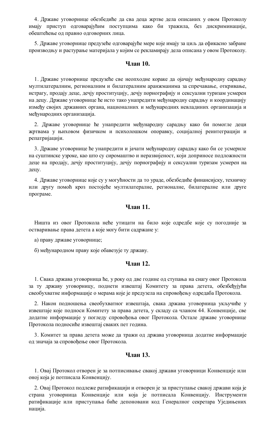4. Државе уговорнице обезбедиће да сва деца жртве дела описаних у овом Протоколу имају приступ одговарајућим поступцима како би тражила, без дискриминације, обештећење од правно одговорних лица.

5. Државе уговорнице предузеће одговарајуће мере које имају за циљ да ефикасно забране производњу и растурање материјала у којим се рекламирају дела описана у овом Протоколу.

### **Члан 10.**

1. Државе уговорнице предузеће све неопходне кораке да ојачају међународну сарадњу мултилатералним, регионалним и билатералним аранжманима за спречавање, откривање, истрагу, продају деце, дечју проституцију, дечју порнографију и сексуални туризам усмерен на децу. Државе уговорнице ће исто тако унапредити међународну сарадњу и координацију између својих државних органа, националних и међународних невладиних организација и међународних организација.

2. Државе уговорнице ће унапредити међународну сарадњу како би помогле деци жртвама у њиховом физичком и психолошком опоравку, социјалној реинтеграцији и репатријацији.

3. Државе уговорнице ће унапредити и јачати међународну сарадњу како би се усмериле на суштинске узроке, као што су сиромаштво и неразвијеност, који доприносе подложности деце на продају, дечју проституцију, дечју порнографију и сексуални туризам усмерен на децу.

4. Државе уговорнице које су у могућности да то ураде, обезбедиће финансијску, техничку или другу помоћ кроз постојеће мултилатералне, регионалне, билатералне или друге програме.

### **Члан 11.**

Ништа из овог Протокола неће утицати на било које одредбе које су погодније за остваривање права детета а које могу бити садржане у:

а) праву државе уговорнице;

б) међународном праву које обавезује ту државу.

### **Члан 12.**

1. Свака држава уговорница ће, у року од две године од ступања на снагу овог Протокола за ту државу уговорницу, поднети извештај Комитету за права детета, обезбеђујући свеобухватне информације о мерама које је предузела на спровођењу одредаба Протокола.

2. Након подношења свеобухватног извештаја, свака држава уговорница укључиће у извештаје које подноси Комитету за права детета, у складу са чланом 44. Конвенције, све додатне информације у погледу спровођења овог Протокола. Остале државе уговорнице Протокола подносиће извештај сваких пет година.

3. Комитет за права детета може да тражи од држава уговорница додатне информације од значаја за спровођење овог Протокола.

### **Члан 13.**

1. Овај Протокол отворен је за потписивање свакој држави уговорници Конвенције или оној која је потписала Конвенцију.

2. Овај Протокол подлеже ратификацији и отворен је за приступање свакој држави која је страна уговорница Конвенције или која је потписала Конвенцију. Инструменти ратификације или приступања биће депоновани код Генералног секретара Уједињених нација.